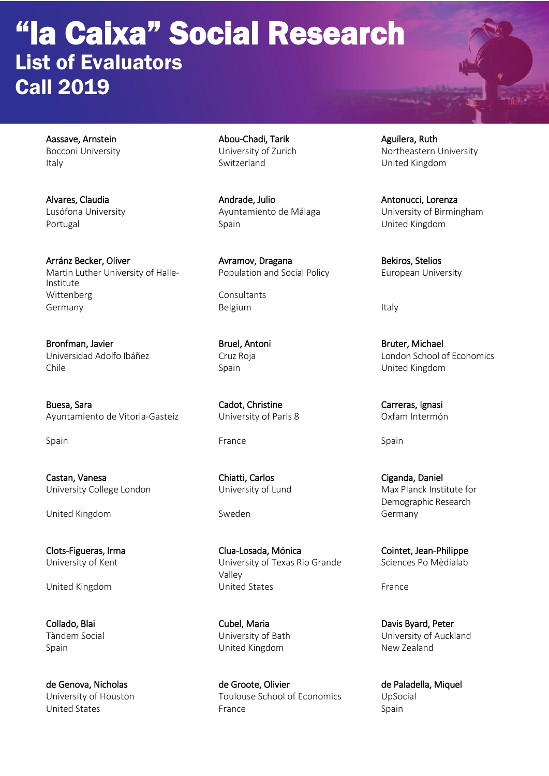## "la Caixa" Social Research List of Evaluators Call 2019

Arránz Becker, Oliver **Avramov, Dragana** Avramov, Dragana Bekiros, Stelios<br>Martin Luther University of Halle-<br>Population and Social Policy Buropean Unive Martin Luther University of Halle-<br>
Population and Social Policy Curres European University Institute Wittenberg **Consultants** Germany **Belgium** Belgium **Italy** 

Bronfman, Javier **Bruel, Antoni** Bruel, Antoni Bruter, Michael

Buesa, Sara Carreras, Ignasi Cadot, Christine Carreras, Ignasi Carreras, Ignasi Ayuntamiento de Vitoria-Gasteiz **Municial University of Paris 8** Oxfam Intermón

Castan, Vanesa Chiatti, Carlos Ciganda, Daniel University College London University of Lund Max Planck Institute for

United Kingdom Germany

Aassave, Arnstein **Abou-Chadi, Tarik Aguilera, Ruth Bocconi University Aguilera**, Ruth Bocconi University of Zurich Italy Switzerland United Kingdom

Alvares, Claudia Andrade, Julio Antonucci, Lorenza Portugal **Spain** Spain Spain United Kingdom

Spain France Spain Spain Spain Spain Spain Spain Spain Spain

Clots-Figueras, Irma Clua-Losada, Mónica Cointet, Jean-Philippe University of Kent **University of Texas Rio Grande** Sciences Po Mèdialab Valley United Kingdom **United States Example 2** United States **France** 

Collado, Blai Cubel, Maria Davis Byard, Peter Spain United Kingdom New Zealand

de Genova, Nicholas de Groote, Olivier de Paladella, Miquel University of Houston Toulouse School of Economics UpSocial United States **Spain Example 2** Spain **France Spain** Spain **Spain** 

Bocconi University **Northeastern University Of Zurich Northeastern University** 

Lusófona University Ayuntamiento de Málaga University of Birmingham

Universidad Adolfo Ibáñez Cruz Roja London School of Economics Spain Spain United Kingdom

Demographic Research

Tàndem Social University of Bath University of Auckland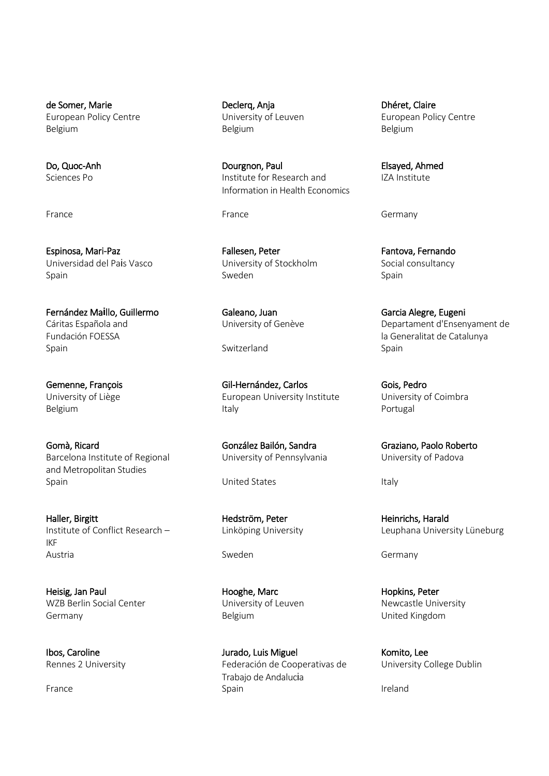European Policy Centre Belgium Belgium Belgium

Espinosa, Mari-Paz **Fallesen, Peter Fantova, Fernando** Fantova, Fernando Universidad del Pais Vasco **Vancio Valor University of Stockholm** Social consultancy Spain Spain Sweden Sweden Spain Spain Spain

Fernández Ma**i**llo, Guillermo Galeano, Juan Garcia Alegre, Eugeni Fundación FOESSA la Generalitat de Catalunya<br>Spain de Catalunya la Generalitat de Catalunya Spain Spain Switzerland Switzerland Spain Spain

Gomà, Ricard González Bailón, Sandra Graziano, Paolo Roberto Barcelona Institute of Regional University of Pennsylvania Cuniversity of Padova and Metropolitan Studies Spain **States** Italy **Italy** United States Italy

Haller, Birgitt **Haller, Birgitt** Hessench — Hedström, Peter **Heinrichs, Harald**<br>Heinrichs, Harald Harald Heinrichs, Harald Harald Harald Harald Harald Harald Harald Harald Harald Harald Harald IKF Austria and Germany Sweden Constants and Sweden Constants and Germany

Heisig, Jan Paul **Hooghe, Marc Hopkins, Peter** Hopkins, Peter WZB Berlin Social Center **New Content Content Content Content** University of Leuven Newcastle University Germany **Belgium** Belgium **Belgium** Belgium **United Kingdom** 

Do, Quoc-Anh Dourgnon, Paul Elsayed, Ahmed Institute for Research and Information in Health Economics

Gemenne, François Gil-Hernández, Carlos Gois, Pedro University of Liège **European University Institute** University of Coimbra Belgium and the settlement of the later of the later of the later of the later of the Portugal

Ibos, Caroline **Ibos, Caroline Caroline Communist Caroline** Jurado, Luis Miguel **Caroline Communist Communist Communist** Communist Communist Communist Communist Communist Communist Communist Communist Communist Communist C Rennes 2 University **Federación de Cooperativas de Lucia** Europe Dublin Trabajo de Andalucia France and the Spain Spain Spain Spain Spain Spain Spain Spain Spain Spain Spain

de Somer, Marie **Declerq, Anja** Declerq, Anja Dhéret, Claire<br>
European Policy Centre **Declerg, Angles Declerges Computer** European Policy Centre

France Germany

Cáritas Española and University of Genève Departament d'Ensenyament de

Linköping University – Leuphana University Lüneburg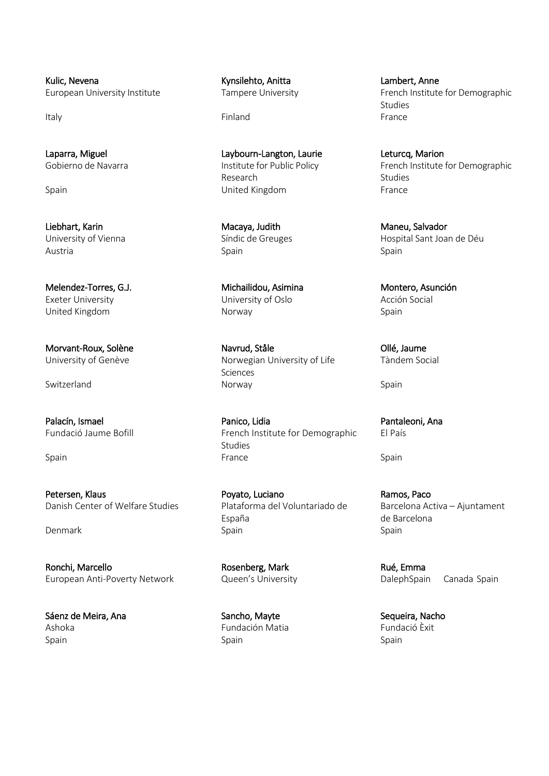Kulic, Nevena **Markoving Communist Communist Communist Communist Communist Communist Communist Communist Communist Communist Communist Communist Communist Communist Communist Communist Communist Communist Communist Communi** 

Liebhart, Karin Macaya, Judith Macaya, Judith Maneu, Salvador<br>
University of Vienna Macaya, Síndic de Greuges Maneu, Hospital Sant Joa Austria Spain Spain

Danish Center of Welfare Studies Plataforma del Voluntariado de Barcelona Activa – Ajuntament

Ronchi, Marcello **Rosenberg**, Mark Rué, Emma European Anti-Poverty Network **Queen's University Canada Spain** Canada Spain

Sáenz de Meira, Ana **Sancho, Mayte** Sancho, Mayte Sequeira, Nacho Ashoka Fundación Matia Fundació Èxit Spain Spain Spain Spain Spain Spain Spain Spain Spain Spain Spain Spain Spain Spain Spain Spain Spain Spain Spain

Italy **Finland Finland Finland Finland France** 

Laparra, Miguel Laybourn-Langton, Laurie Leturcq, Marion Research **Studies** Studies Spain **Example 2 Spain** United Kingdom **France** 

Melendez-Torres, G.J. (and a monodium Michailidou, Asimina Montero, Asunción Exeter University University of Oslo Acción Social United Kingdom **Norway** Norway Norway Spain

Morvant-Roux, Solène Navrud, Ståle Navrud, Ståle Navrud, Ståle Ollé, Jaume University of Genève **Norwegian University of Life** Tàndem Social Sciences Switzerland Same Spain Norway Norway Spain Spain

Palacín, Ismael Panico, Lidia Pantaleoni, Ana Fundació Jaume Bofill **French Institute for Demographic** El País Studies Spain France Spain Spain Spain Spain Spain Spain Spain Spain Spain Spain Spain

Petersen, Klaus **Poyato, Luciano Ramos, Paco** Poyato, Luciano Ramos, Paco España de Barcelona Denmark Spain Spain Spain Spain Spain Spain

European University Institute Tampere University French Institute for Demographic Studies<br>France

Gobierno de Navarra **Institute for Public Policy** French Institute for Demographic

Hospital Sant Joan de Déu